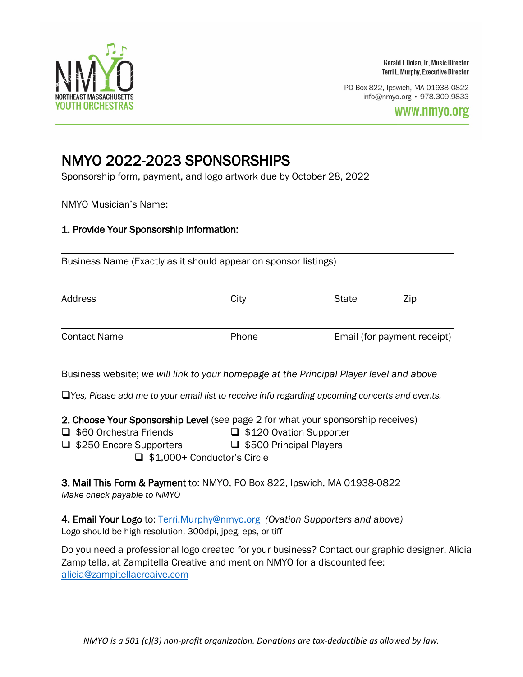

Gerald J. Dolan, Jr., Music Director Terri L. Murphy, Executive Director

PO Box 822, Ipswich, MA 01938-0822 info@nmyo.org • 978.309.9833

# NMYO 2022-2023 SPONSORSHIPS<br>Sponsorship form, payment, and logo artwork due by October 28, 2022

NMYO Musician's Name:

## 1. Provide Your Sponsorship Information:

Business Name (Exactly as it should appear on sponsor listings)

| Address             | City  | <b>State</b>                | Zip |
|---------------------|-------|-----------------------------|-----|
| <b>Contact Name</b> | Phone | Email (for payment receipt) |     |

Business website; *we will link to your homepage at the Principal Player level and above*

*Yes, Please add me to your email list to receive info regarding upcoming concerts and events.*

2. Choose Your Sponsorship Level (see page 2 for what your sponsorship receives)

- $\Box$  \$60 Orchestra Friends  $\Box$  \$120 Ovation Supporter
	-
- $\Box$  **\$250 Encore Supporters**  $\Box$  \$500 Principal Players

□ \$1,000+ Conductor's Circle

3. Mail This Form & Payment to: NMYO, PO Box 822, Ipswich, MA 01938-0822 *Make check payable to NMYO*

4. Email Your Logo to: [Terri.Murphy@nmyo.org](mailto:Terri.Murphy@nmyo.org) *(Ovation Supporters and above)* Logo should be high resolution, 300dpi, jpeg, eps, or tiff

Do you need a professional logo created for your business? Contact our graphic designer, Alicia Zampitella, at Zampitella Creative and mention NMYO for a discounted fee: [alicia@zampitellacreaive.com](mailto:alicia@zampitellacreaive.com)